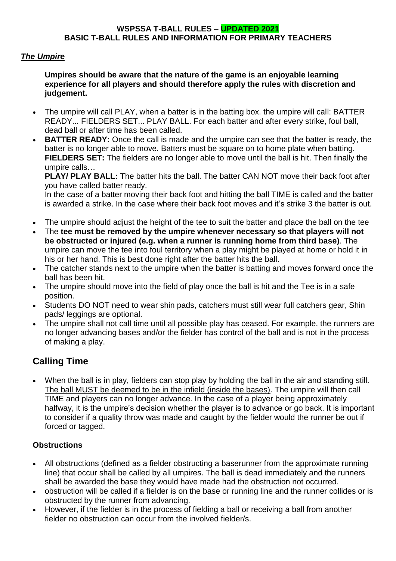#### **WSPSSA T-BALL RULES – UPDATED 2021 BASIC T-BALL RULES AND INFORMATION FOR PRIMARY TEACHERS**

## *The Umpire*

**Umpires should be aware that the nature of the game is an enjoyable learning experience for all players and should therefore apply the rules with discretion and judgement.** 

- The umpire will call PLAY, when a batter is in the batting box. the umpire will call: BATTER READY... FIELDERS SET... PLAY BALL. For each batter and after every strike, foul ball, dead ball or after time has been called.
- **BATTER READY:** Once the call is made and the umpire can see that the batter is ready, the batter is no longer able to move. Batters must be square on to home plate when batting. **FIELDERS SET:** The fielders are no longer able to move until the ball is hit. Then finally the umpire calls…

**PLAY/ PLAY BALL:** The batter hits the ball. The batter CAN NOT move their back foot after you have called batter ready.

In the case of a batter moving their back foot and hitting the ball TIME is called and the batter is awarded a strike. In the case where their back foot moves and it's strike 3 the batter is out.

- The umpire should adjust the height of the tee to suit the batter and place the ball on the tee
- The **tee must be removed by the umpire whenever necessary so that players will not be obstructed or injured (e.g. when a runner is running home from third base)**. The umpire can move the tee into foul territory when a play might be played at home or hold it in his or her hand. This is best done right after the batter hits the ball.
- The catcher stands next to the umpire when the batter is batting and moves forward once the ball has been hit.
- The umpire should move into the field of play once the ball is hit and the Tee is in a safe position.
- Students DO NOT need to wear shin pads, catchers must still wear full catchers gear, Shin pads/ leggings are optional.
- The umpire shall not call time until all possible play has ceased. For example, the runners are no longer advancing bases and/or the fielder has control of the ball and is not in the process of making a play.

# **Calling Time**

• When the ball is in play, fielders can stop play by holding the ball in the air and standing still. The ball MUST be deemed to be in the infield (inside the bases). The umpire will then call TIME and players can no longer advance. In the case of a player being approximately halfway, it is the umpire's decision whether the player is to advance or go back. It is important to consider if a quality throw was made and caught by the fielder would the runner be out if forced or tagged.

## **Obstructions**

- All obstructions (defined as a fielder obstructing a baserunner from the approximate running line) that occur shall be called by all umpires. The ball is dead immediately and the runners shall be awarded the base they would have made had the obstruction not occurred.
- obstruction will be called if a fielder is on the base or running line and the runner collides or is obstructed by the runner from advancing.
- However, if the fielder is in the process of fielding a ball or receiving a ball from another fielder no obstruction can occur from the involved fielder/s.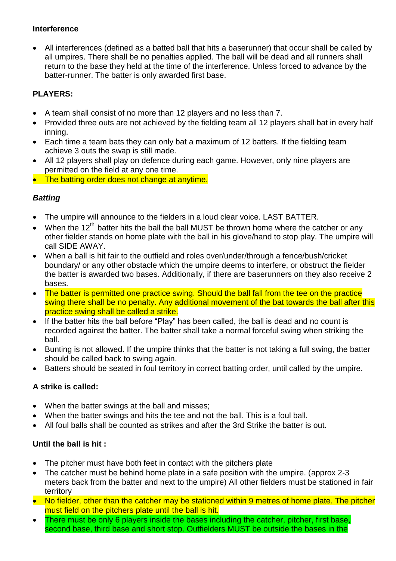## **Interference**

• All interferences (defined as a batted ball that hits a baserunner) that occur shall be called by all umpires. There shall be no penalties applied. The ball will be dead and all runners shall return to the base they held at the time of the interference. Unless forced to advance by the batter-runner. The batter is only awarded first base.

## **PLAYERS:**

- A team shall consist of no more than 12 players and no less than 7.
- Provided three outs are not achieved by the fielding team all 12 players shall bat in every half inning.
- Each time a team bats they can only bat a maximum of 12 batters. If the fielding team achieve 3 outs the swap is still made.
- All 12 players shall play on defence during each game. However, only nine players are permitted on the field at any one time.
- The batting order does not change at anytime.

## *Batting*

- The umpire will announce to the fielders in a loud clear voice. LAST BATTER.
- When the 12<sup>th</sup> batter hits the ball the ball MUST be thrown home where the catcher or any other fielder stands on home plate with the ball in his glove/hand to stop play. The umpire will call SIDE AWAY.
- When a ball is hit fair to the outfield and roles over/under/through a fence/bush/cricket boundary/ or any other obstacle which the umpire deems to interfere, or obstruct the fielder the batter is awarded two bases. Additionally, if there are baserunners on they also receive 2 bases.
- The batter is permitted one practice swing. Should the ball fall from the tee on the practice swing there shall be no penalty. Any additional movement of the bat towards the ball after this practice swing shall be called a strike.
- If the batter hits the ball before "Play" has been called, the ball is dead and no count is recorded against the batter. The batter shall take a normal forceful swing when striking the ball.
- Bunting is not allowed. If the umpire thinks that the batter is not taking a full swing, the batter should be called back to swing again.
- Batters should be seated in foul territory in correct batting order, until called by the umpire.

## **A strike is called:**

- When the batter swings at the ball and misses;
- When the batter swings and hits the tee and not the ball. This is a foul ball.
- All foul balls shall be counted as strikes and after the 3rd Strike the batter is out.

## **Until the ball is hit :**

- The pitcher must have both feet in contact with the pitchers plate
- The catcher must be behind home plate in a safe position with the umpire. (approx 2-3 meters back from the batter and next to the umpire) All other fielders must be stationed in fair territory
- No fielder, other than the catcher may be stationed within 9 metres of home plate. The pitcher must field on the pitchers plate until the ball is hit.
- There must be only 6 players inside the bases including the catcher, pitcher, first base, second base, third base and short stop. Outfielders MUST be outside the bases in the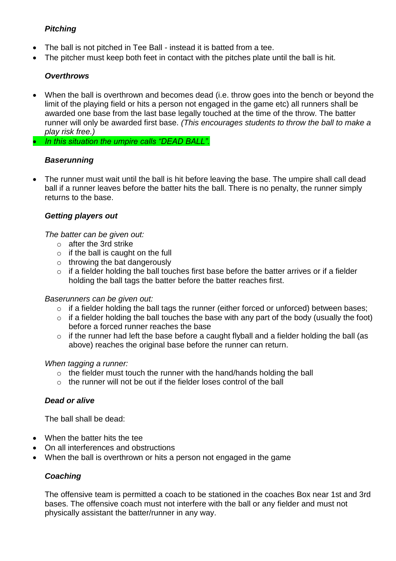## *Pitching*

- The ball is not pitched in Tee Ball instead it is batted from a tee.
- The pitcher must keep both feet in contact with the pitches plate until the ball is hit.

## *Overthrows*

- When the ball is overthrown and becomes dead (i.e. throw goes into the bench or beyond the limit of the playing field or hits a person not engaged in the game etc) all runners shall be awarded one base from the last base legally touched at the time of the throw. The batter runner will only be awarded first base. *(This encourages students to throw the ball to make a play risk free.)*
- *In this situation the umpire calls "DEAD BALL".*

#### *Baserunning*

• The runner must wait until the ball is hit before leaving the base. The umpire shall call dead ball if a runner leaves before the batter hits the ball. There is no penalty, the runner simply returns to the base.

#### *Getting players out*

#### *The batter can be given out:*

- o after the 3rd strike
- $\circ$  if the ball is caught on the full
- $\circ$  throwing the bat dangerously
- $\circ$  if a fielder holding the ball touches first base before the batter arrives or if a fielder holding the ball tags the batter before the batter reaches first.

#### *Baserunners can be given out:*

- o if a fielder holding the ball tags the runner (either forced or unforced) between bases;
- $\circ$  if a fielder holding the ball touches the base with any part of the body (usually the foot) before a forced runner reaches the base
- $\circ$  if the runner had left the base before a caught flyball and a fielder holding the ball (as above) reaches the original base before the runner can return.

#### *When tagging a runner:*

- o the fielder must touch the runner with the hand/hands holding the ball
- $\circ$  the runner will not be out if the fielder loses control of the ball

#### *Dead or alive*

The ball shall be dead:

- When the batter hits the tee
- On all interferences and obstructions
- When the ball is overthrown or hits a person not engaged in the game

## *Coaching*

The offensive team is permitted a coach to be stationed in the coaches Box near 1st and 3rd bases. The offensive coach must not interfere with the ball or any fielder and must not physically assistant the batter/runner in any way.